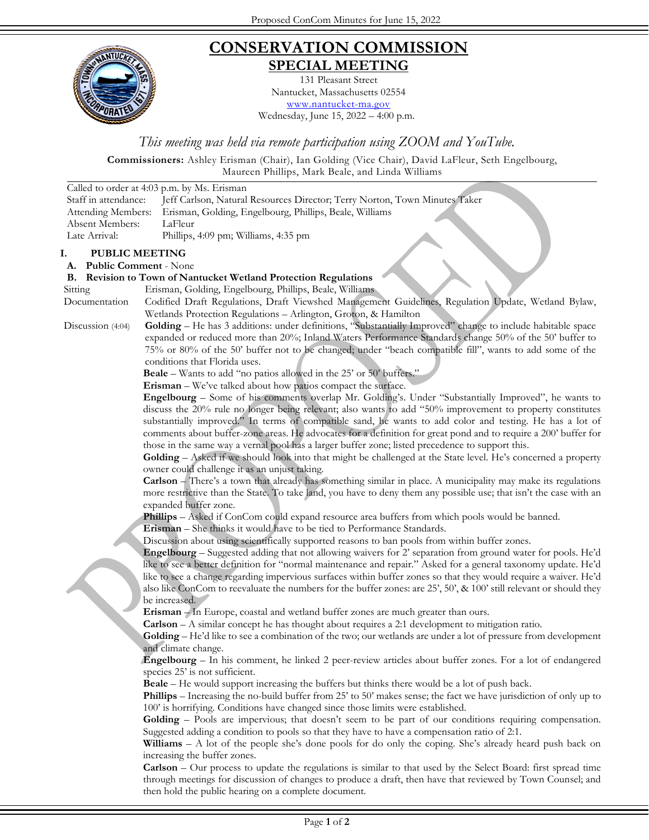

## **CONSERVATION COMMISSION SPECIAL MEETING**

131 Pleasant Street Nantucket, Massachusetts 02554 [www.nantucket-ma.gov](http://www.nantucket-ma.gov/)

Wednesday, June 15, 2022 – 4:00 p.m.

*This meeting was held via remote participation using ZOOM and YouTube.*

**Commissioners:** Ashley Erisman (Chair), Ian Golding (Vice Chair), David LaFleur, Seth Engelbourg,

Maureen Phillips, Mark Beale, and Linda Williams

|                                                             | matricen + mmps, main Deale, and minea white<br>Called to order at 4:03 p.m. by Ms. Erisman                                                                                                              |
|-------------------------------------------------------------|----------------------------------------------------------------------------------------------------------------------------------------------------------------------------------------------------------|
| Staff in attendance:                                        | Jeff Carlson, Natural Resources Director; Terry Norton, Town Minutes Taker                                                                                                                               |
| Attending Members:                                          | Erisman, Golding, Engelbourg, Phillips, Beale, Williams                                                                                                                                                  |
| Absent Members:                                             | LaFleur                                                                                                                                                                                                  |
| Late Arrival:                                               | Phillips, 4:09 pm; Williams, 4:35 pm                                                                                                                                                                     |
| Ι.                                                          |                                                                                                                                                                                                          |
| <b>PUBLIC MEETING</b><br>A.<br><b>Public Comment - None</b> |                                                                                                                                                                                                          |
| <b>B.</b>                                                   | <b>Revision to Town of Nantucket Wetland Protection Regulations</b>                                                                                                                                      |
| Sitting                                                     | Erisman, Golding, Engelbourg, Phillips, Beale, Williams                                                                                                                                                  |
| Documentation                                               | Codified Draft Regulations, Draft Viewshed Management Guidelines, Regulation Update, Wetland Bylaw,                                                                                                      |
|                                                             | Wetlands Protection Regulations - Arlington, Groton, & Hamilton                                                                                                                                          |
| Discussion (4:04)                                           | Golding - He has 3 additions: under definitions, "Substantially Improved" change to include habitable space                                                                                              |
|                                                             | expanded or reduced more than 20%; Inland Waters Performance Standards change 50% of the 50' buffer to                                                                                                   |
|                                                             | 75% or 80% of the 50' buffer not to be changed; under "beach compatible fill", wants to add some of the                                                                                                  |
|                                                             | conditions that Florida uses.                                                                                                                                                                            |
|                                                             | <b>Beale</b> – Wants to add "no patios allowed in the 25' or 50' buffers."                                                                                                                               |
|                                                             | Erisman - We've talked about how patios compact the surface.                                                                                                                                             |
|                                                             | Engelbourg – Some of his comments overlap Mr. Golding's. Under "Substantially Improved", he wants to                                                                                                     |
|                                                             | discuss the 20% rule no longer being relevant; also wants to add "50% improvement to property constitutes                                                                                                |
|                                                             | substantially improved." In terms of compatible sand, he wants to add color and testing. He has a lot of                                                                                                 |
|                                                             | comments about buffer-zone areas. He advocates for a definition for great pond and to require a 200' buffer for                                                                                          |
|                                                             | those in the same way a vernal pool has a larger buffer zone; listed precedence to support this.                                                                                                         |
|                                                             | Golding – Asked if we should look into that might be challenged at the State level. He's concerned a property                                                                                            |
|                                                             | owner could challenge it as an unjust taking.                                                                                                                                                            |
|                                                             | Carlson - There's a town that already has something similar in place. A municipality may make its regulations                                                                                            |
|                                                             | more restrictive than the State. To take land, you have to deny them any possible use; that isn't the case with an                                                                                       |
|                                                             | expanded buffer zone.<br>Phillips - Asked if ConCom could expand resource area buffers from which pools would be banned.                                                                                 |
|                                                             | Erisman - She thinks it would have to be tied to Performance Standards.                                                                                                                                  |
|                                                             | Discussion about using scientifically supported reasons to ban pools from within buffer zones.                                                                                                           |
|                                                             | Engelbourg - Suggested adding that not allowing waivers for 2' separation from ground water for pools. He'd                                                                                              |
|                                                             | like to see a better definition for "normal maintenance and repair." Asked for a general taxonomy update. He'd                                                                                           |
|                                                             | like to see a change regarding impervious surfaces within buffer zones so that they would require a waiver. He'd                                                                                         |
|                                                             | also like ConCom to reevaluate the numbers for the buffer zones: are 25', 50', & 100' still relevant or should they                                                                                      |
|                                                             | be increased.                                                                                                                                                                                            |
|                                                             | Erisman - In Europe, coastal and wetland buffer zones are much greater than ours.                                                                                                                        |
|                                                             | Carlson - A similar concept he has thought about requires a 2:1 development to mitigation ratio.                                                                                                         |
|                                                             | Golding - He'd like to see a combination of the two; our wetlands are under a lot of pressure from development                                                                                           |
|                                                             | and climate change.                                                                                                                                                                                      |
|                                                             | Engelbourg - In his comment, he linked 2 peer-review articles about buffer zones. For a lot of endangered                                                                                                |
|                                                             | species 25' is not sufficient.                                                                                                                                                                           |
|                                                             | <b>Beale</b> – He would support increasing the buffers but thinks there would be a lot of push back.                                                                                                     |
|                                                             | Phillips – Increasing the no-build buffer from 25' to 50' makes sense; the fact we have jurisdiction of only up to                                                                                       |
|                                                             | 100' is horrifying. Conditions have changed since those limits were established.                                                                                                                         |
|                                                             | Golding - Pools are impervious; that doesn't seem to be part of our conditions requiring compensation.                                                                                                   |
|                                                             | Suggested adding a condition to pools so that they have to have a compensation ratio of 2:1.<br>Williams - A lot of the people she's done pools for do only the coping. She's already heard push back on |
|                                                             | increasing the buffer zones.                                                                                                                                                                             |
|                                                             | Carlson - Our process to update the regulations is similar to that used by the Select Board: first spread time                                                                                           |
|                                                             | through meetings for discussion of changes to produce a draft, then have that reviewed by Town Counsel; and                                                                                              |
|                                                             | then hold the public hearing on a complete document.                                                                                                                                                     |
|                                                             |                                                                                                                                                                                                          |